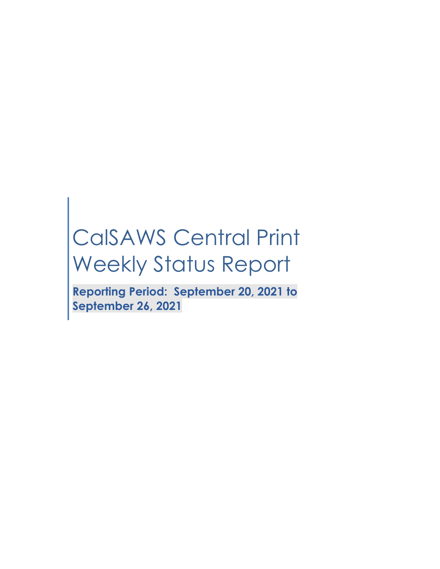# CalSAWS Central Print Weekly Status Report

**Reporting Period: September 20, 2021 to September 26, 2021**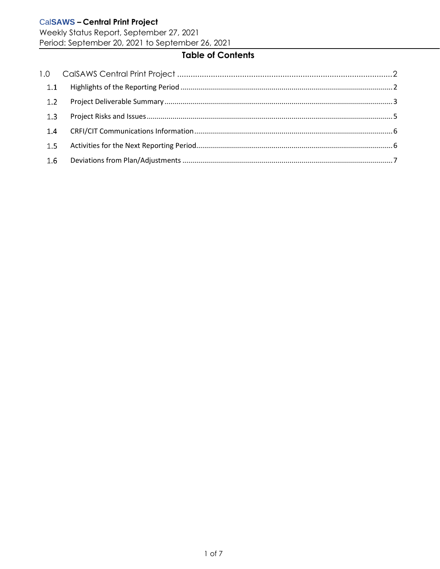Weekly Status Report, September 27, 2021 Period: September 20, 2021 to September 26, 2021

# **Table of Contents**

| 1.1 |  |
|-----|--|
| 1.2 |  |
| 1.3 |  |
| 1.4 |  |
| 1.5 |  |
| 1.6 |  |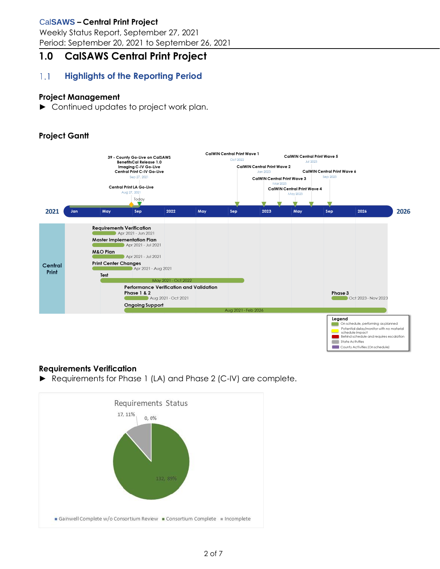Weekly Status Report, September 27, 2021 Period: September 20, 2021 to September 26, 2021

# <span id="page-2-0"></span>**1.0 CalSAWS Central Print Project**

#### <span id="page-2-1"></span> $1.1$ **Highlights of the Reporting Period**

#### **Project Management**

► Continued updates to project work plan.

## **Project Gantt**



#### **Requirements Verification**

► Requirements for Phase 1 (LA) and Phase 2 (C-IV) are complete.

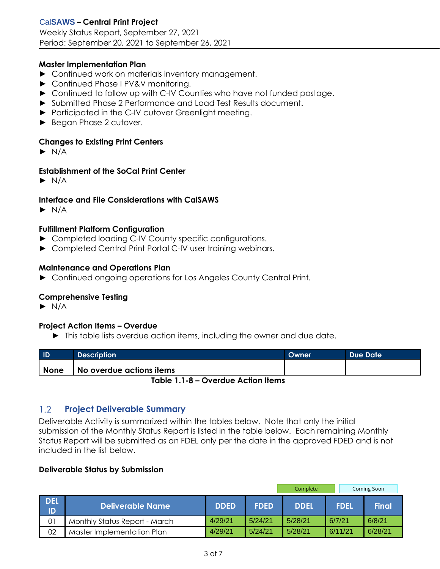#### **Master Implementation Plan**

- ► Continued work on materials inventory management.
- ► Continued Phase I PV&V monitoring.
- ► Continued to follow up with C-IV Counties who have not funded postage.
- ► Submitted Phase 2 Performance and Load Test Results document.
- ► Participated in the C-IV cutover Greenlight meeting.
- ► Began Phase 2 cutover.

#### **Changes to Existing Print Centers**

 $\blacktriangleright$  N/A

#### **Establishment of the SoCal Print Center**

 $\blacktriangleright$  N/A

#### **Interface and File Considerations with CalSAWS**

 $\blacktriangleright$  N/A

#### **Fulfillment Platform Configuration**

- ► Completed loading C-IV County specific configurations.
- ► Completed Central Print Portal C-IV user training webinars.

#### **Maintenance and Operations Plan**

► Continued ongoing operations for Los Angeles County Central Print.

#### **Comprehensive Testing**

 $\blacktriangleright$  N/A

#### **Project Action Items – Overdue**

► This table lists overdue action items, including the owner and due date.

| <b>ID</b>                       | <b>Description</b>       | Owner | Due Date |  |
|---------------------------------|--------------------------|-------|----------|--|
| <b>None</b>                     | No overdue actions items |       |          |  |
| Table 1 1 0 Overdue Action Home |                          |       |          |  |

**Table 1.1-8 – Overdue Action Items**

#### <span id="page-3-0"></span> $1.2$ **Project Deliverable Summary**

Deliverable Activity is summarized within the tables below. Note that only the initial submission of the Monthly Status Report is listed in the table below. Each remaining Monthly Status Report will be submitted as an FDEL only per the date in the approved FDED and is not included in the list below.

#### **Deliverable Status by Submission**

|                  |                               |             |             | Complete    |             | Coming Soon  |
|------------------|-------------------------------|-------------|-------------|-------------|-------------|--------------|
| <b>DEL</b><br>ID | Deliverable Name              | <b>DDED</b> | <b>FDED</b> | <b>DDEL</b> | <b>FDEL</b> | <b>Final</b> |
| 01               | Monthly Status Report - March | 4/29/21     | 5/24/21     | 5/28/21     | 6/7/21      | 6/8/21       |
| 02               | Master Implementation Plan    | 4/29/21     | 5/24/21     | 5/28/21     | 6/11/21     | 6/28/21      |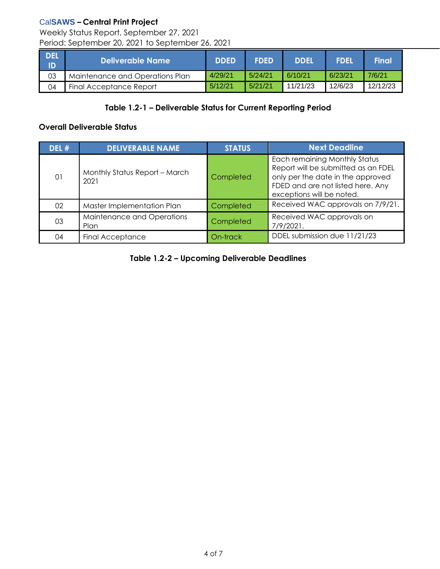Weekly Status Report, September 27, 2021 Period: September 20, 2021 to September 26, 2021

| I DEL<br>- ID | Deliverable Name                | <b>DDED</b> | <b>FDED</b> | <b>DDEL</b> | <b>FDEL</b> | <b>Final</b> |
|---------------|---------------------------------|-------------|-------------|-------------|-------------|--------------|
| 03            | Maintenance and Operations Plan | 4/29/21     | 5/24/21     | 6/10/21     | 6/23/21     | 7/6/21       |
| 04            | Final Acceptance Report         | 5/12/21     | 5/21/21     | 11/21/23    | 12/6/23     | 12/12/23     |

#### **Table 1.2-1 – Deliverable Status for Current Reporting Period**

#### **Overall Deliverable Status**

| DEL # | <b>DELIVERABLE NAME</b>               | <b>STATUS</b>    | <b>Next Deadline</b>                                                                                                                                                               |
|-------|---------------------------------------|------------------|------------------------------------------------------------------------------------------------------------------------------------------------------------------------------------|
| 01    | Monthly Status Report - March<br>2021 | <b>Completed</b> | <b>Each remaining Monthly Status</b><br>Report will be submitted as an FDEL<br>only per the date in the approved<br>FDED and are not listed here. Any<br>exceptions will be noted. |
| 02    | Master Implementation Plan            | Completed        | Received WAC approvals on 7/9/21.                                                                                                                                                  |
| 03    | Maintenance and Operations<br>Plan    | Completed        | Received WAC approvals on<br>7/9/2021.                                                                                                                                             |
| 04    | <b>Final Acceptance</b>               | On-track         | DDEL submission due 11/21/23                                                                                                                                                       |

**Table 1.2-2 – Upcoming Deliverable Deadlines**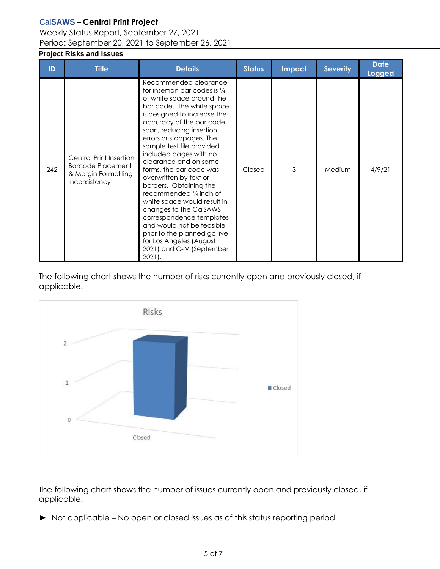## Weekly Status Report, September 27, 2021 Period: September 20, 2021 to September 26, 2021

## <span id="page-5-0"></span>**Project Risks and Issues**

| ID  | <b>Title</b>                                                                                | <b>Details</b>                                                                                                                                                                                                                                                                                                                                                                                                                                                                                                                                                                                                                                                 | <b>Status</b> | <b>Impact</b> | <b>Severity</b> | <b>Date</b><br><b>Logged</b> |
|-----|---------------------------------------------------------------------------------------------|----------------------------------------------------------------------------------------------------------------------------------------------------------------------------------------------------------------------------------------------------------------------------------------------------------------------------------------------------------------------------------------------------------------------------------------------------------------------------------------------------------------------------------------------------------------------------------------------------------------------------------------------------------------|---------------|---------------|-----------------|------------------------------|
| 242 | Central Print Insertion<br><b>Barcode Placement</b><br>& Margin Formatting<br>Inconsistency | Recommended clearance<br>for insertion bar codes is $\frac{1}{4}$<br>of white space around the<br>bar code. The white space<br>is designed to increase the<br>accuracy of the bar code<br>scan, reducing insertion<br>errors or stoppages. The<br>sample test file provided<br>included pages with no<br>clearance and on some<br>forms, the bar code was<br>overwritten by text or<br>borders. Obtaining the<br>recommended 1/4 inch of<br>white space would result in<br>changes to the CalSAWS<br>correspondence templates<br>and would not be feasible<br>prior to the planned go live<br>for Los Angeles (August<br>2021) and C-IV (September<br>$2021$ . | Closed        | 3             | Medium          | 4/9/21                       |

The following chart shows the number of risks currently open and previously closed, if applicable.



The following chart shows the number of issues currently open and previously closed, if applicable.

► Not applicable – No open or closed issues as of this status reporting period.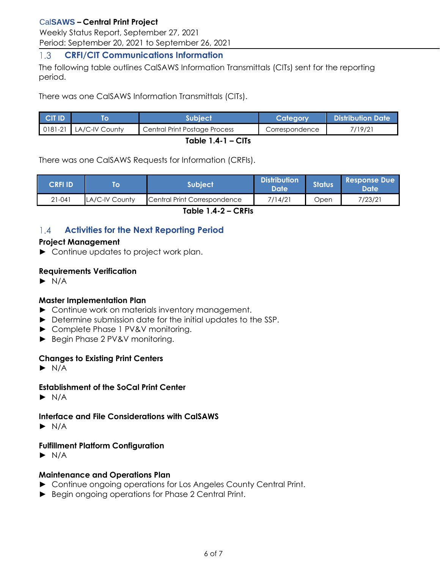Weekly Status Report, September 27, 2021 Period: September 20, 2021 to September 26, 2021

#### <span id="page-6-0"></span> $1.3$ **CRFI/CIT Communications Information**

The following table outlines CalSAWS Information Transmittals (CITs) sent for the reporting period.

There was one CalSAWS Information Transmittals (CITs).

| <b>CIT ID</b>       |                                  | <b>Subiect</b>                | Category       | <b>Distribution Date</b> |  |  |
|---------------------|----------------------------------|-------------------------------|----------------|--------------------------|--|--|
|                     | $\vert$ 0181-21   LA/C-IV County | Central Print Postage Process | Correspondence | 7/19/21                  |  |  |
| Table $1.4 - 1 - C$ |                                  |                               |                |                          |  |  |

There was one CalSAWS Requests for Information (CRFIs).

| <b>CRFI ID'</b> | lo             | Subject                      | <b>Distribution</b><br>Date' | <b>Status</b> | <b>Response Due</b><br>Date <b>I</b> |
|-----------------|----------------|------------------------------|------------------------------|---------------|--------------------------------------|
| $21 - 041$      | LA/C-IV County | Central Print Correspondence | 7/14/21                      | Open          | 7/23/21                              |

**Table 1.4-2 – CRFIs**

#### <span id="page-6-1"></span>**Activities for the Next Reporting Period**  $1.4$

#### **Project Management**

► Continue updates to project work plan.

#### **Requirements Verification**

 $\blacktriangleright$  N/A

#### **Master Implementation Plan**

- ► Continue work on materials inventory management.
- ► Determine submission date for the initial updates to the SSP.
- ► Complete Phase 1 PV&V monitoring.
- ► Begin Phase 2 PV&V monitoring.

#### **Changes to Existing Print Centers**

 $\blacktriangleright$  N/A

#### **Establishment of the SoCal Print Center**

 $\blacktriangleright$  N/A

#### **Interface and File Considerations with CalSAWS**

 $\blacktriangleright$  N/A

## **Fulfillment Platform Configuration**

 $\blacktriangleright$  N/A

## **Maintenance and Operations Plan**

- ► Continue ongoing operations for Los Angeles County Central Print.
- ► Begin ongoing operations for Phase 2 Central Print.